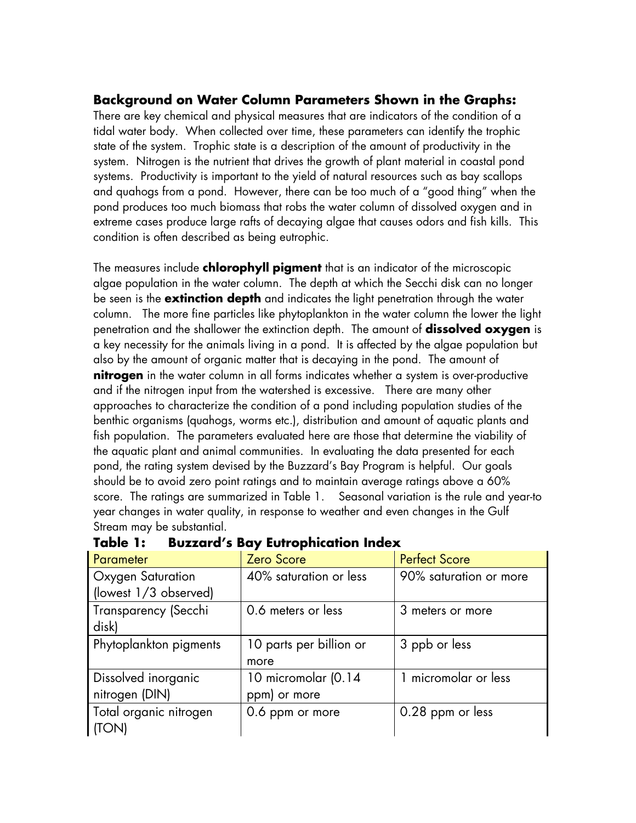#### **Background on Water Column Parameters Shown in the Graphs:**

There are key chemical and physical measures that are indicators of the condition of a tidal water body. When collected over time, these parameters can identify the trophic state of the system. Trophic state is a description of the amount of productivity in the system. Nitrogen is the nutrient that drives the growth of plant material in coastal pond systems. Productivity is important to the yield of natural resources such as bay scallops and quahogs from a pond. However, there can be too much of a "good thing" when the pond produces too much biomass that robs the water column of dissolved oxygen and in extreme cases produce large rafts of decaying algae that causes odors and fish kills. This condition is often described as being eutrophic.

The measures include **chlorophyll pigment** that is an indicator of the microscopic algae population in the water column. The depth at which the Secchi disk can no longer be seen is the **extinction depth** and indicates the light penetration through the water column. The more fine particles like phytoplankton in the water column the lower the light penetration and the shallower the extinction depth. The amount of **dissolved oxygen** is a key necessity for the animals living in a pond. It is affected by the algae population but also by the amount of organic matter that is decaying in the pond. The amount of **nitrogen** in the water column in all forms indicates whether a system is over-productive and if the nitrogen input from the watershed is excessive. There are many other approaches to characterize the condition of a pond including population studies of the benthic organisms (quahogs, worms etc.), distribution and amount of aquatic plants and fish population. The parameters evaluated here are those that determine the viability of the aquatic plant and animal communities. In evaluating the data presented for each pond, the rating system devised by the Buzzard's Bay Program is helpful. Our goals should be to avoid zero point ratings and to maintain average ratings above a 60% score. The ratings are summarized in Table 1. Seasonal variation is the rule and year-to year changes in water quality, in response to weather and even changes in the Gulf Stream may be substantial.

| Parameter              | Zero Score              | <b>Perfect Score</b>   |  |  |  |
|------------------------|-------------------------|------------------------|--|--|--|
| Oxygen Saturation      | 40% saturation or less  | 90% saturation or more |  |  |  |
| (lowest 1/3 observed)  |                         |                        |  |  |  |
| Transparency (Secchi   | 0.6 meters or less      | 3 meters or more       |  |  |  |
| disk)                  |                         |                        |  |  |  |
| Phytoplankton pigments | 10 parts per billion or | 3 ppb or less          |  |  |  |
|                        | more                    |                        |  |  |  |
| Dissolved inorganic    | 10 micromolar (0.14     | 1 micromolar or less   |  |  |  |
| nitrogen (DIN)         | ppm) or more            |                        |  |  |  |
| Total organic nitrogen | 0.6 ppm or more         | 0.28 ppm or less       |  |  |  |
| (TON)                  |                         |                        |  |  |  |

| Table 1: | <b>Buzzard's Bay Eutrophication Index</b> |  |  |  |
|----------|-------------------------------------------|--|--|--|
|----------|-------------------------------------------|--|--|--|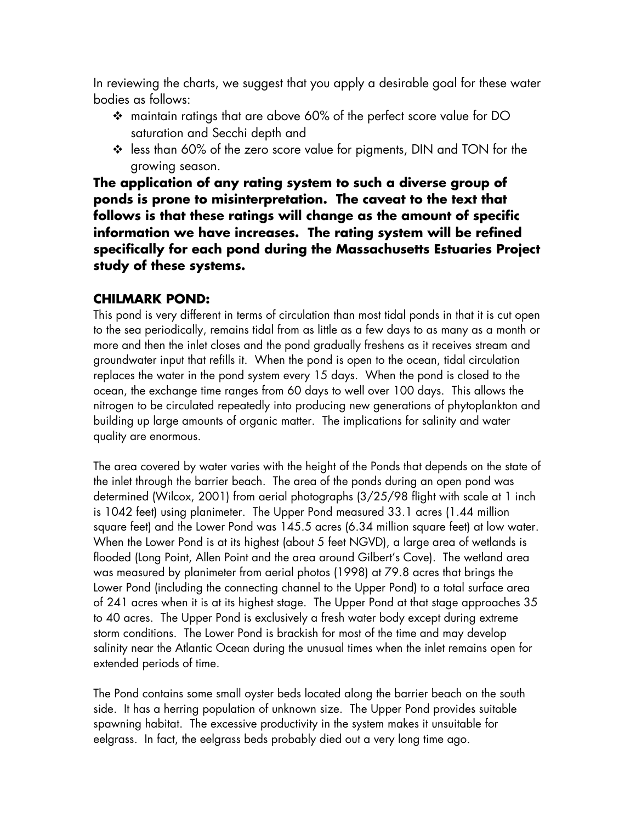In reviewing the charts, we suggest that you apply a desirable goal for these water bodies as follows:

- maintain ratings that are above 60% of the perfect score value for DO saturation and Secchi depth and
- less than 60% of the zero score value for pigments, DIN and TON for the growing season.

**The application of any rating system to such a diverse group of ponds is prone to misinterpretation. The caveat to the text that follows is that these ratings will change as the amount of specific information we have increases. The rating system will be refined specifically for each pond during the Massachusetts Estuaries Project study of these systems.** 

#### **CHILMARK POND:**

This pond is very different in terms of circulation than most tidal ponds in that it is cut open to the sea periodically, remains tidal from as little as a few days to as many as a month or more and then the inlet closes and the pond gradually freshens as it receives stream and groundwater input that refills it. When the pond is open to the ocean, tidal circulation replaces the water in the pond system every 15 days. When the pond is closed to the ocean, the exchange time ranges from 60 days to well over 100 days. This allows the nitrogen to be circulated repeatedly into producing new generations of phytoplankton and building up large amounts of organic matter. The implications for salinity and water quality are enormous.

The area covered by water varies with the height of the Ponds that depends on the state of the inlet through the barrier beach. The area of the ponds during an open pond was determined (Wilcox, 2001) from aerial photographs (3/25/98 flight with scale at 1 inch is 1042 feet) using planimeter. The Upper Pond measured 33.1 acres (1.44 million square feet) and the Lower Pond was 145.5 acres (6.34 million square feet) at low water. When the Lower Pond is at its highest (about 5 feet NGVD), a large area of wetlands is flooded (Long Point, Allen Point and the area around Gilbert's Cove). The wetland area was measured by planimeter from aerial photos (1998) at 79.8 acres that brings the Lower Pond (including the connecting channel to the Upper Pond) to a total surface area of 241 acres when it is at its highest stage. The Upper Pond at that stage approaches 35 to 40 acres. The Upper Pond is exclusively a fresh water body except during extreme storm conditions. The Lower Pond is brackish for most of the time and may develop salinity near the Atlantic Ocean during the unusual times when the inlet remains open for extended periods of time.

The Pond contains some small oyster beds located along the barrier beach on the south side. It has a herring population of unknown size. The Upper Pond provides suitable spawning habitat. The excessive productivity in the system makes it unsuitable for eelgrass. In fact, the eelgrass beds probably died out a very long time ago.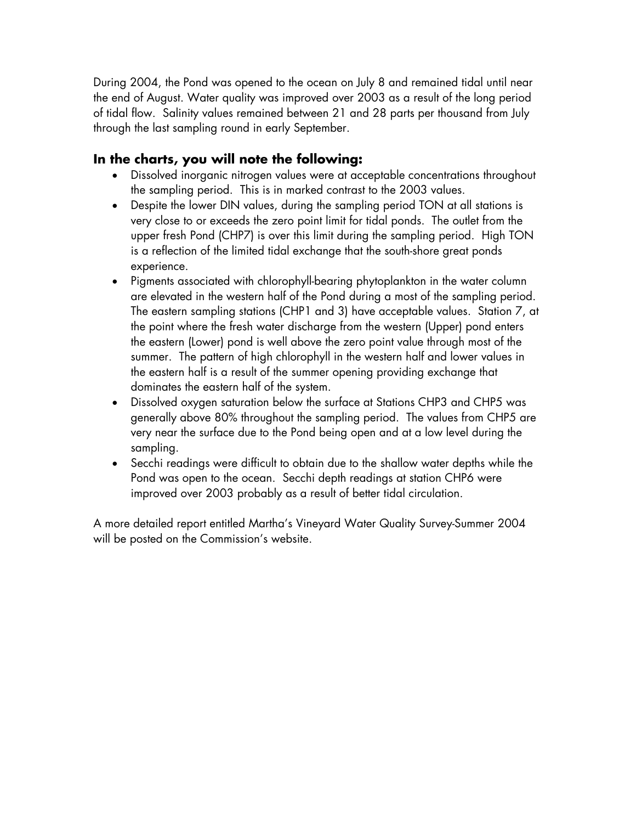During 2004, the Pond was opened to the ocean on July 8 and remained tidal until near the end of August. Water quality was improved over 2003 as a result of the long period of tidal flow. Salinity values remained between 21 and 28 parts per thousand from July through the last sampling round in early September.

## **In the charts, you will note the following:**

- Dissolved inorganic nitrogen values were at acceptable concentrations throughout the sampling period. This is in marked contrast to the 2003 values.
- Despite the lower DIN values, during the sampling period TON at all stations is very close to or exceeds the zero point limit for tidal ponds. The outlet from the upper fresh Pond (CHP7) is over this limit during the sampling period. High TON is a reflection of the limited tidal exchange that the south-shore great ponds experience.
- Pigments associated with chlorophyll-bearing phytoplankton in the water column are elevated in the western half of the Pond during a most of the sampling period. The eastern sampling stations (CHP1 and 3) have acceptable values. Station 7, at the point where the fresh water discharge from the western (Upper) pond enters the eastern (Lower) pond is well above the zero point value through most of the summer. The pattern of high chlorophyll in the western half and lower values in the eastern half is a result of the summer opening providing exchange that dominates the eastern half of the system.
- Dissolved oxygen saturation below the surface at Stations CHP3 and CHP5 was generally above 80% throughout the sampling period. The values from CHP5 are very near the surface due to the Pond being open and at a low level during the sampling.
- Secchi readings were difficult to obtain due to the shallow water depths while the Pond was open to the ocean. Secchi depth readings at station CHP6 were improved over 2003 probably as a result of better tidal circulation.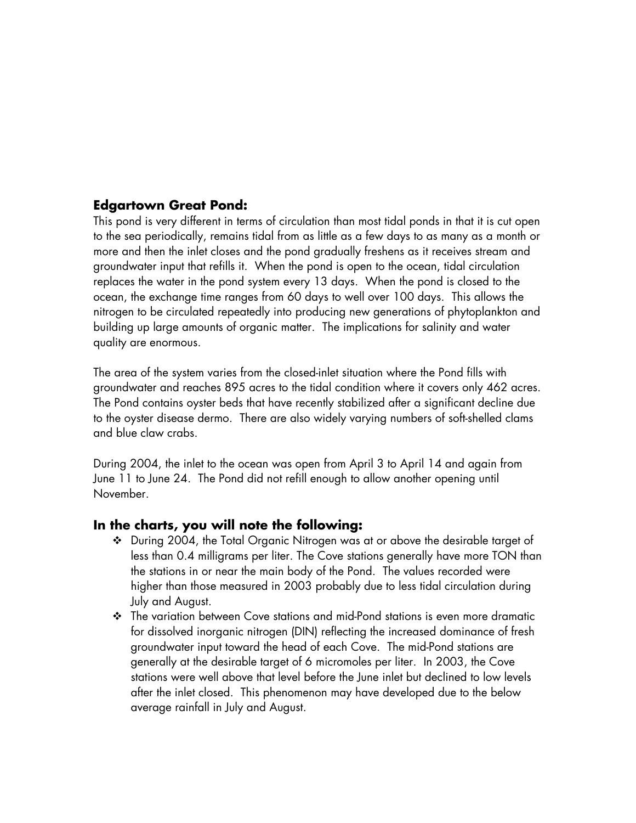#### **Edgartown Great Pond:**

This pond is very different in terms of circulation than most tidal ponds in that it is cut open to the sea periodically, remains tidal from as little as a few days to as many as a month or more and then the inlet closes and the pond gradually freshens as it receives stream and groundwater input that refills it. When the pond is open to the ocean, tidal circulation replaces the water in the pond system every 13 days. When the pond is closed to the ocean, the exchange time ranges from 60 days to well over 100 days. This allows the nitrogen to be circulated repeatedly into producing new generations of phytoplankton and building up large amounts of organic matter. The implications for salinity and water quality are enormous.

The area of the system varies from the closed-inlet situation where the Pond fills with groundwater and reaches 895 acres to the tidal condition where it covers only 462 acres. The Pond contains oyster beds that have recently stabilized after a significant decline due to the oyster disease dermo. There are also widely varying numbers of soft-shelled clams and blue claw crabs.

During 2004, the inlet to the ocean was open from April 3 to April 14 and again from June 11 to June 24. The Pond did not refill enough to allow another opening until November.

#### **In the charts, you will note the following:**

- During 2004, the Total Organic Nitrogen was at or above the desirable target of less than 0.4 milligrams per liter. The Cove stations generally have more TON than the stations in or near the main body of the Pond. The values recorded were higher than those measured in 2003 probably due to less tidal circulation during July and August.
- The variation between Cove stations and mid-Pond stations is even more dramatic for dissolved inorganic nitrogen (DIN) reflecting the increased dominance of fresh groundwater input toward the head of each Cove. The mid-Pond stations are generally at the desirable target of 6 micromoles per liter. In 2003, the Cove stations were well above that level before the June inlet but declined to low levels after the inlet closed. This phenomenon may have developed due to the below average rainfall in July and August.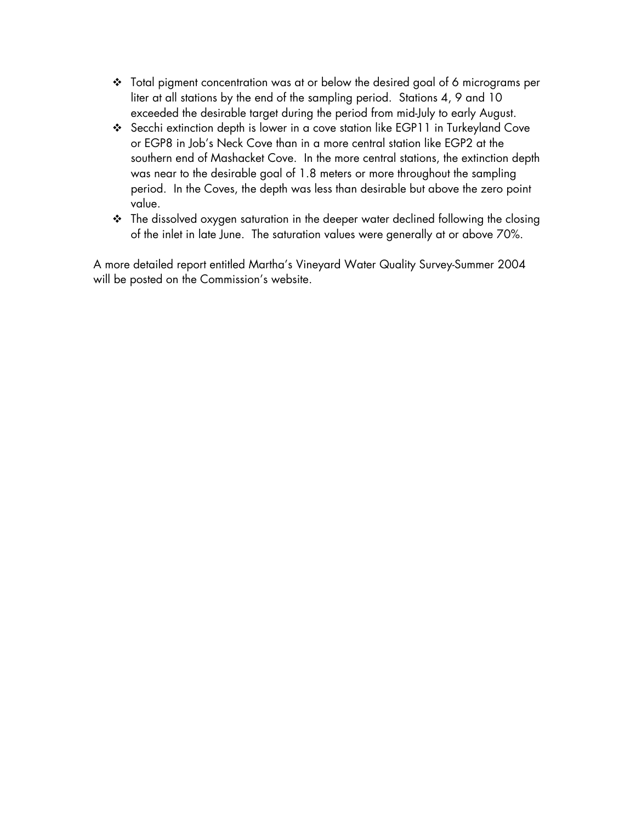- Total pigment concentration was at or below the desired goal of 6 micrograms per liter at all stations by the end of the sampling period. Stations 4, 9 and 10 exceeded the desirable target during the period from mid-July to early August.
- Secchi extinction depth is lower in a cove station like EGP11 in Turkeyland Cove or EGP8 in Job's Neck Cove than in a more central station like EGP2 at the southern end of Mashacket Cove. In the more central stations, the extinction depth was near to the desirable goal of 1.8 meters or more throughout the sampling period. In the Coves, the depth was less than desirable but above the zero point value.
- The dissolved oxygen saturation in the deeper water declined following the closing of the inlet in late June. The saturation values were generally at or above 70%.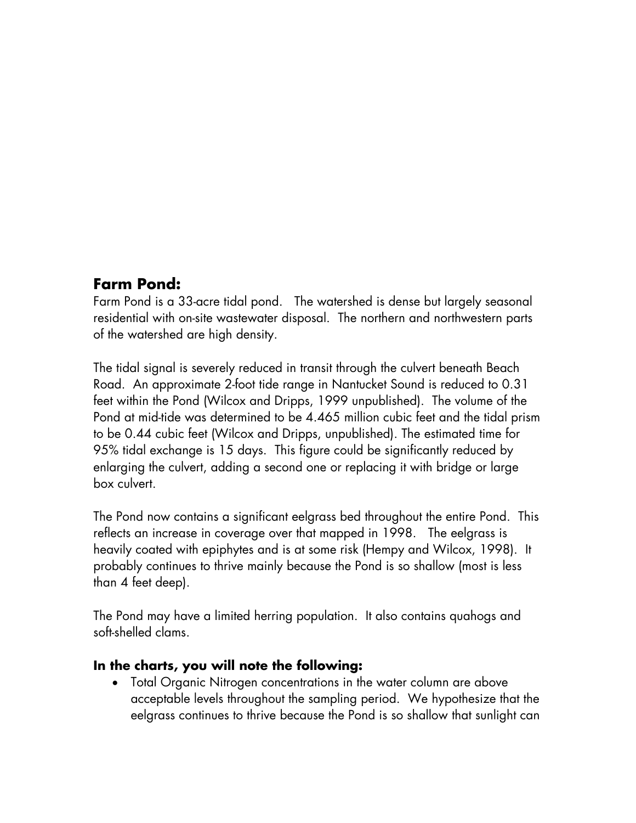## **Farm Pond:**

Farm Pond is a 33-acre tidal pond. The watershed is dense but largely seasonal residential with on-site wastewater disposal. The northern and northwestern parts of the watershed are high density.

The tidal signal is severely reduced in transit through the culvert beneath Beach Road. An approximate 2-foot tide range in Nantucket Sound is reduced to 0.31 feet within the Pond (Wilcox and Dripps, 1999 unpublished). The volume of the Pond at mid-tide was determined to be 4.465 million cubic feet and the tidal prism to be 0.44 cubic feet (Wilcox and Dripps, unpublished). The estimated time for 95% tidal exchange is 15 days. This figure could be significantly reduced by enlarging the culvert, adding a second one or replacing it with bridge or large box culvert.

The Pond now contains a significant eelgrass bed throughout the entire Pond. This reflects an increase in coverage over that mapped in 1998. The eelgrass is heavily coated with epiphytes and is at some risk (Hempy and Wilcox, 1998). It probably continues to thrive mainly because the Pond is so shallow (most is less than 4 feet deep).

The Pond may have a limited herring population. It also contains quahogs and soft-shelled clams.

### **In the charts, you will note the following:**

• Total Organic Nitrogen concentrations in the water column are above acceptable levels throughout the sampling period. We hypothesize that the eelgrass continues to thrive because the Pond is so shallow that sunlight can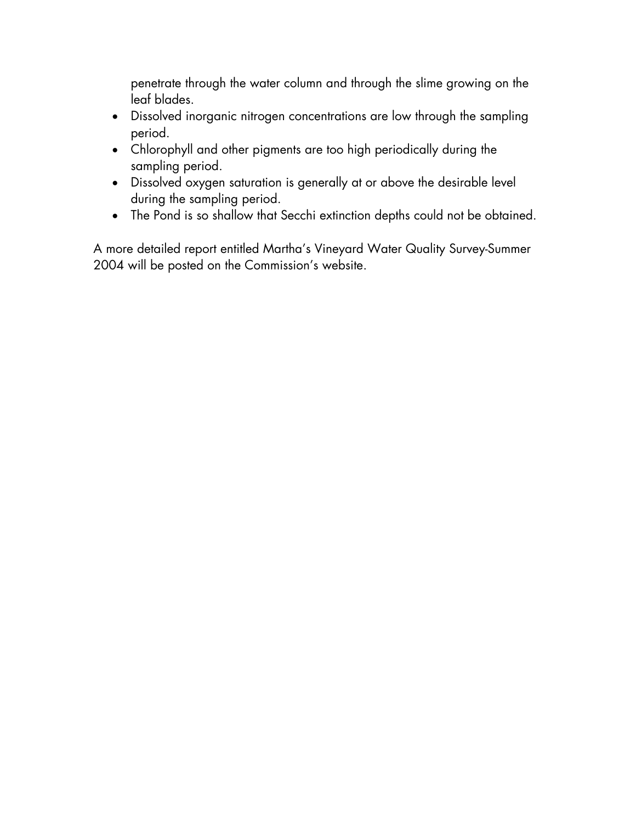penetrate through the water column and through the slime growing on the leaf blades.

- Dissolved inorganic nitrogen concentrations are low through the sampling period.
- Chlorophyll and other pigments are too high periodically during the sampling period.
- Dissolved oxygen saturation is generally at or above the desirable level during the sampling period.
- The Pond is so shallow that Secchi extinction depths could not be obtained.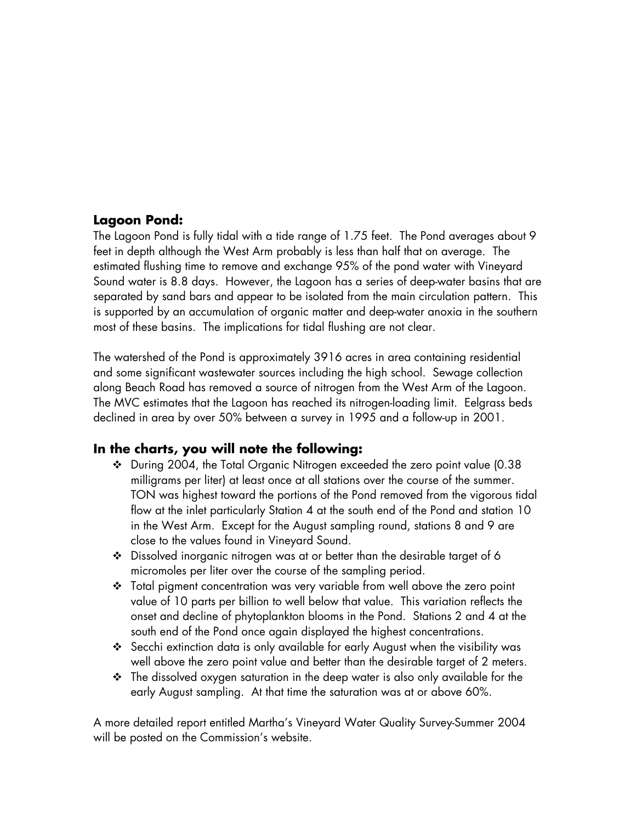#### **Lagoon Pond:**

The Lagoon Pond is fully tidal with a tide range of 1.75 feet. The Pond averages about 9 feet in depth although the West Arm probably is less than half that on average. The estimated flushing time to remove and exchange 95% of the pond water with Vineyard Sound water is 8.8 days. However, the Lagoon has a series of deep-water basins that are separated by sand bars and appear to be isolated from the main circulation pattern. This is supported by an accumulation of organic matter and deep-water anoxia in the southern most of these basins. The implications for tidal flushing are not clear.

The watershed of the Pond is approximately 3916 acres in area containing residential and some significant wastewater sources including the high school. Sewage collection along Beach Road has removed a source of nitrogen from the West Arm of the Lagoon. The MVC estimates that the Lagoon has reached its nitrogen-loading limit. Eelgrass beds declined in area by over 50% between a survey in 1995 and a follow-up in 2001.

### **In the charts, you will note the following:**

- During 2004, the Total Organic Nitrogen exceeded the zero point value (0.38 milligrams per liter) at least once at all stations over the course of the summer. TON was highest toward the portions of the Pond removed from the vigorous tidal flow at the inlet particularly Station 4 at the south end of the Pond and station 10 in the West Arm. Except for the August sampling round, stations 8 and 9 are close to the values found in Vineyard Sound.
- Dissolved inorganic nitrogen was at or better than the desirable target of 6 micromoles per liter over the course of the sampling period.
- Total pigment concentration was very variable from well above the zero point value of 10 parts per billion to well below that value. This variation reflects the onset and decline of phytoplankton blooms in the Pond. Stations 2 and 4 at the south end of the Pond once again displayed the highest concentrations.
- Secchi extinction data is only available for early August when the visibility was well above the zero point value and better than the desirable target of 2 meters.
- $\cdot \cdot$  The dissolved oxygen saturation in the deep water is also only available for the early August sampling. At that time the saturation was at or above 60%.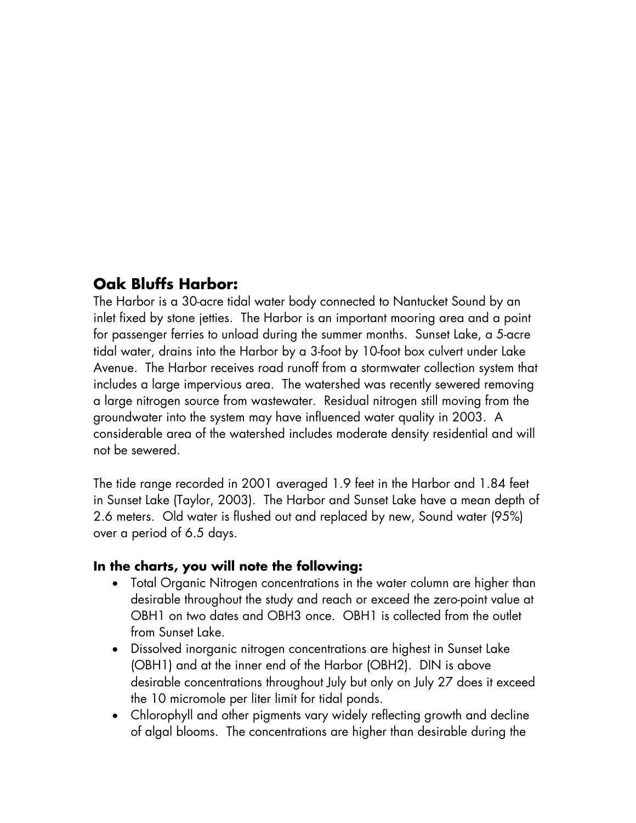# **Oak Bluffs Harbor:**

The Harbor is a 30-acre tidal water body connected to Nantucket Sound by an inlet fixed by stone jetties. The Harbor is an important mooring area and a point for passenger ferries to unload during the summer months. Sunset Lake, a 5-acre tidal water, drains into the Harbor by a 3-foot by 10-foot box culvert under Lake Avenue. The Harbor receives road runoff from a stormwater collection system that includes a large impervious area. The watershed was recently sewered removing a large nitrogen source from wastewater. Residual nitrogen still moving from the groundwater into the system may have influenced water quality in 2003. A considerable area of the watershed includes moderate density residential and will not be sewered.

The tide range recorded in 2001 averaged 1.9 feet in the Harbor and 1.84 feet in Sunset Lake (Taylor, 2003). The Harbor and Sunset Lake have a mean depth of 2.6 meters. Old water is flushed out and replaced by new, Sound water (95%) over a period of 6.5 days.

#### **In the charts, you will note the following:**

- Total Organic Nitrogen concentrations in the water column are higher than desirable throughout the study and reach or exceed the zero-point value at OBH1 on two dates and OBH3 once. OBH1 is collected from the outlet from Sunset Lake.
- Dissolved inorganic nitrogen concentrations are highest in Sunset Lake (OBH1) and at the inner end of the Harbor (OBH2). DIN is above desirable concentrations throughout July but only on July 27 does it exceed the 10 micromole per liter limit for tidal ponds.
- Chlorophyll and other pigments vary widely reflecting growth and decline of algal blooms. The concentrations are higher than desirable during the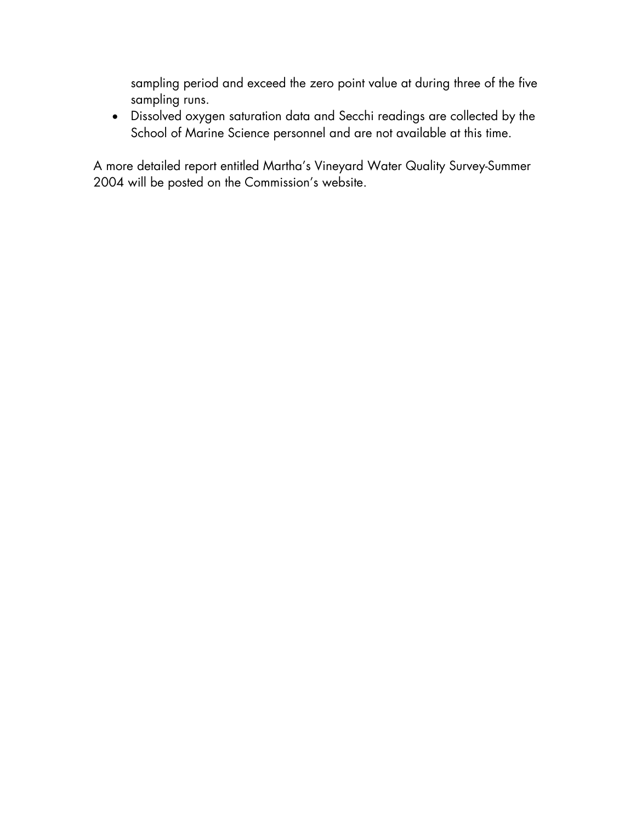sampling period and exceed the zero point value at during three of the five sampling runs.

• Dissolved oxygen saturation data and Secchi readings are collected by the School of Marine Science personnel and are not available at this time.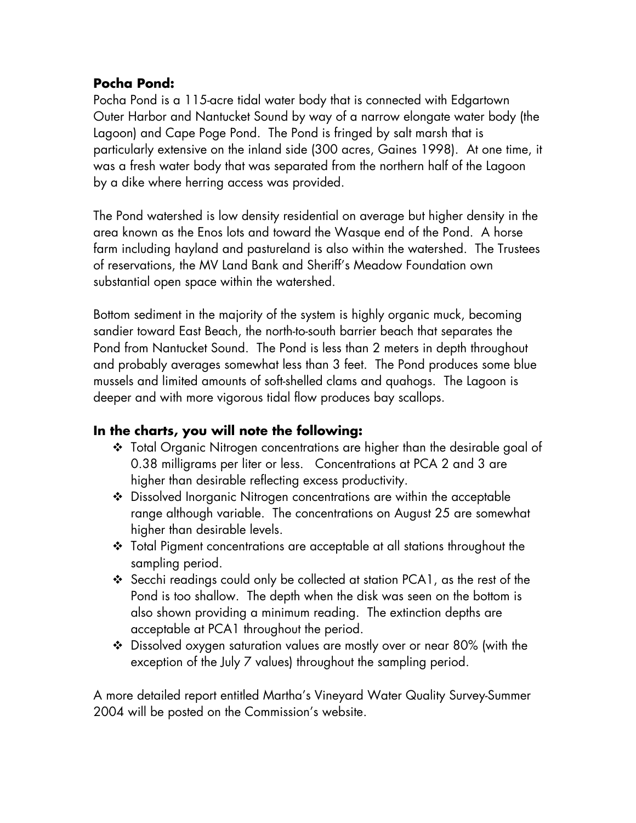## **Pocha Pond:**

Pocha Pond is a 115-acre tidal water body that is connected with Edgartown Outer Harbor and Nantucket Sound by way of a narrow elongate water body (the Lagoon) and Cape Poge Pond. The Pond is fringed by salt marsh that is particularly extensive on the inland side (300 acres, Gaines 1998). At one time, it was a fresh water body that was separated from the northern half of the Lagoon by a dike where herring access was provided.

The Pond watershed is low density residential on average but higher density in the area known as the Enos lots and toward the Wasque end of the Pond. A horse farm including hayland and pastureland is also within the watershed. The Trustees of reservations, the MV Land Bank and Sheriff's Meadow Foundation own substantial open space within the watershed.

Bottom sediment in the majority of the system is highly organic muck, becoming sandier toward East Beach, the north-to-south barrier beach that separates the Pond from Nantucket Sound. The Pond is less than 2 meters in depth throughout and probably averages somewhat less than 3 feet. The Pond produces some blue mussels and limited amounts of soft-shelled clams and quahogs. The Lagoon is deeper and with more vigorous tidal flow produces bay scallops.

### **In the charts, you will note the following:**

- Total Organic Nitrogen concentrations are higher than the desirable goal of 0.38 milligrams per liter or less. Concentrations at PCA 2 and 3 are higher than desirable reflecting excess productivity.
- Dissolved Inorganic Nitrogen concentrations are within the acceptable range although variable. The concentrations on August 25 are somewhat higher than desirable levels.
- Total Pigment concentrations are acceptable at all stations throughout the sampling period.
- Secchi readings could only be collected at station PCA1, as the rest of the Pond is too shallow. The depth when the disk was seen on the bottom is also shown providing a minimum reading. The extinction depths are acceptable at PCA1 throughout the period.
- Dissolved oxygen saturation values are mostly over or near 80% (with the exception of the July 7 values) throughout the sampling period.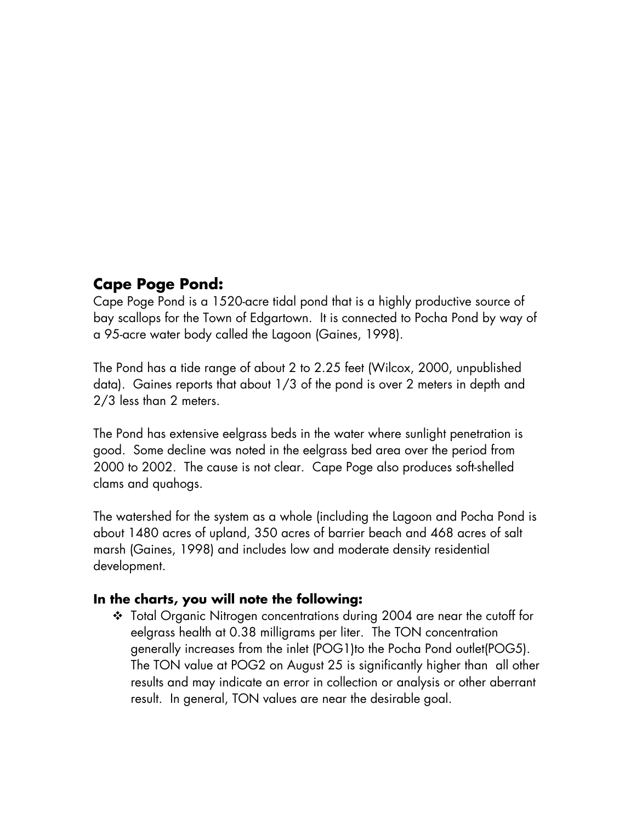## **Cape Poge Pond:**

Cape Poge Pond is a 1520-acre tidal pond that is a highly productive source of bay scallops for the Town of Edgartown. It is connected to Pocha Pond by way of a 95-acre water body called the Lagoon (Gaines, 1998).

The Pond has a tide range of about 2 to 2.25 feet (Wilcox, 2000, unpublished data). Gaines reports that about 1/3 of the pond is over 2 meters in depth and 2/3 less than 2 meters.

The Pond has extensive eelgrass beds in the water where sunlight penetration is good. Some decline was noted in the eelgrass bed area over the period from 2000 to 2002. The cause is not clear. Cape Poge also produces soft-shelled clams and quahogs.

The watershed for the system as a whole (including the Lagoon and Pocha Pond is about 1480 acres of upland, 350 acres of barrier beach and 468 acres of salt marsh (Gaines, 1998) and includes low and moderate density residential development.

### **In the charts, you will note the following:**

 Total Organic Nitrogen concentrations during 2004 are near the cutoff for eelgrass health at 0.38 milligrams per liter. The TON concentration generally increases from the inlet (POG1)to the Pocha Pond outlet(POG5). The TON value at POG2 on August 25 is significantly higher than all other results and may indicate an error in collection or analysis or other aberrant result. In general, TON values are near the desirable goal.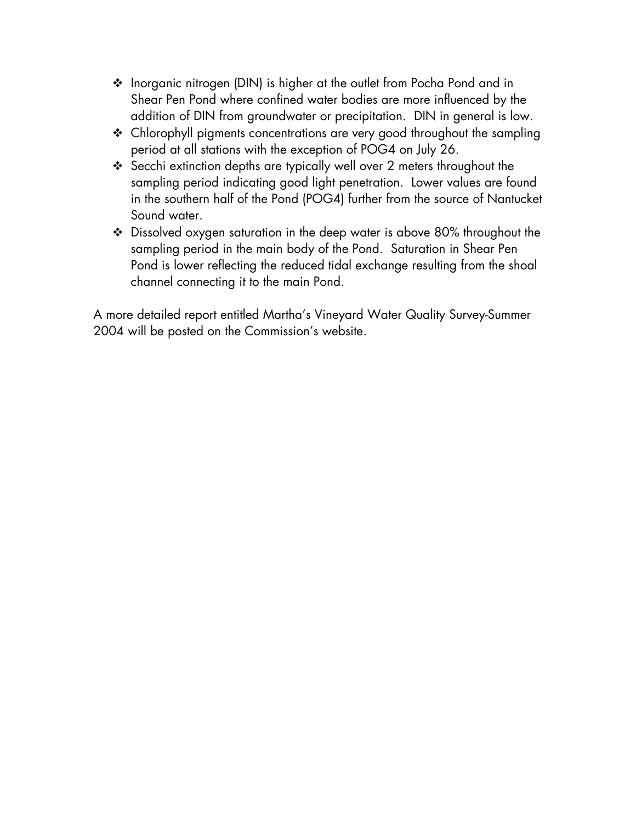- ◆ Inorganic nitrogen (DIN) is higher at the outlet from Pocha Pond and in Shear Pen Pond where confined water bodies are more influenced by the addition of DIN from groundwater or precipitation. DIN in general is low.
- \* Chlorophyll pigments concentrations are very good throughout the sampling period at all stations with the exception of POG4 on July 26.
- \* Secchi extinction depths are typically well over 2 meters throughout the sampling period indicating good light penetration. Lower values are found in the southern half of the Pond (POG4) further from the source of Nantucket Sound water.
- Dissolved oxygen saturation in the deep water is above 80% throughout the sampling period in the main body of the Pond. Saturation in Shear Pen Pond is lower reflecting the reduced tidal exchange resulting from the shoal channel connecting it to the main Pond.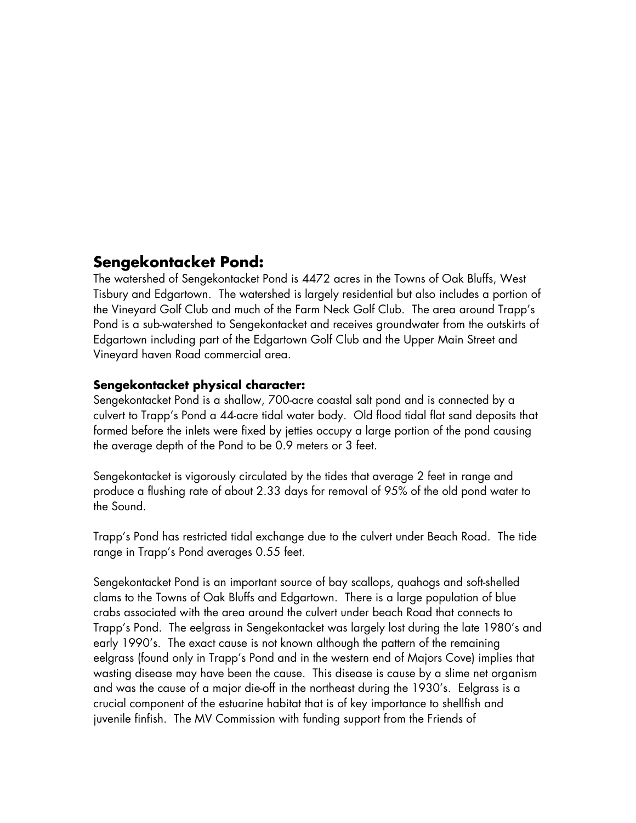## **Sengekontacket Pond:**

The watershed of Sengekontacket Pond is 4472 acres in the Towns of Oak Bluffs, West Tisbury and Edgartown. The watershed is largely residential but also includes a portion of the Vineyard Golf Club and much of the Farm Neck Golf Club. The area around Trapp's Pond is a sub-watershed to Sengekontacket and receives groundwater from the outskirts of Edgartown including part of the Edgartown Golf Club and the Upper Main Street and Vineyard haven Road commercial area.

#### **Sengekontacket physical character:**

Sengekontacket Pond is a shallow, 700-acre coastal salt pond and is connected by a culvert to Trapp's Pond a 44-acre tidal water body. Old flood tidal flat sand deposits that formed before the inlets were fixed by jetties occupy a large portion of the pond causing the average depth of the Pond to be 0.9 meters or 3 feet.

Sengekontacket is vigorously circulated by the tides that average 2 feet in range and produce a flushing rate of about 2.33 days for removal of 95% of the old pond water to the Sound.

Trapp's Pond has restricted tidal exchange due to the culvert under Beach Road. The tide range in Trapp's Pond averages 0.55 feet.

Sengekontacket Pond is an important source of bay scallops, quahogs and soft-shelled clams to the Towns of Oak Bluffs and Edgartown. There is a large population of blue crabs associated with the area around the culvert under beach Road that connects to Trapp's Pond. The eelgrass in Sengekontacket was largely lost during the late 1980's and early 1990's. The exact cause is not known although the pattern of the remaining eelgrass (found only in Trapp's Pond and in the western end of Majors Cove) implies that wasting disease may have been the cause. This disease is cause by a slime net organism and was the cause of a major die-off in the northeast during the 1930's. Eelgrass is a crucial component of the estuarine habitat that is of key importance to shellfish and juvenile finfish. The MV Commission with funding support from the Friends of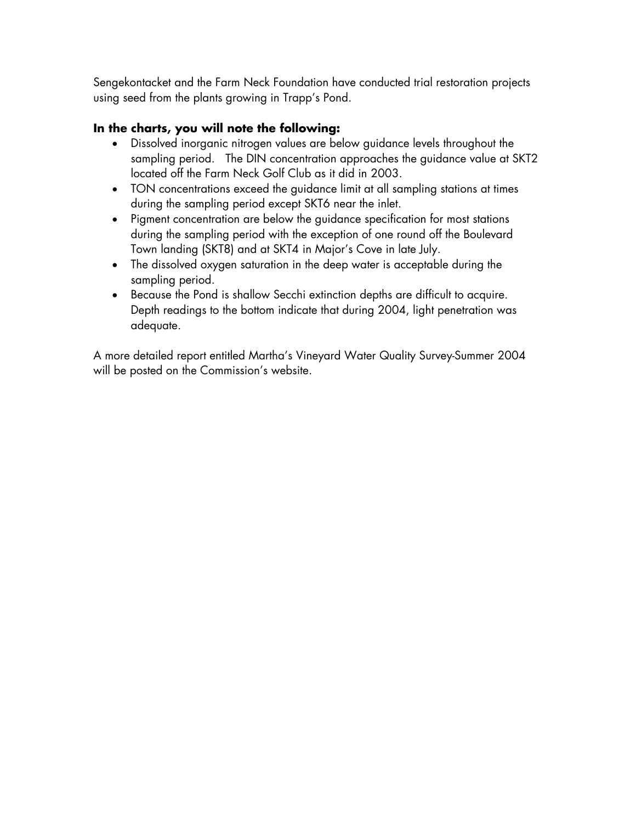Sengekontacket and the Farm Neck Foundation have conducted trial restoration projects using seed from the plants growing in Trapp's Pond.

#### **In the charts, you will note the following:**

- Dissolved inorganic nitrogen values are below guidance levels throughout the sampling period. The DIN concentration approaches the guidance value at SKT2 located off the Farm Neck Golf Club as it did in 2003.
- TON concentrations exceed the guidance limit at all sampling stations at times during the sampling period except SKT6 near the inlet.
- Pigment concentration are below the guidance specification for most stations during the sampling period with the exception of one round off the Boulevard Town landing (SKT8) and at SKT4 in Major's Cove in late July.
- The dissolved oxygen saturation in the deep water is acceptable during the sampling period.
- Because the Pond is shallow Secchi extinction depths are difficult to acquire. Depth readings to the bottom indicate that during 2004, light penetration was adequate.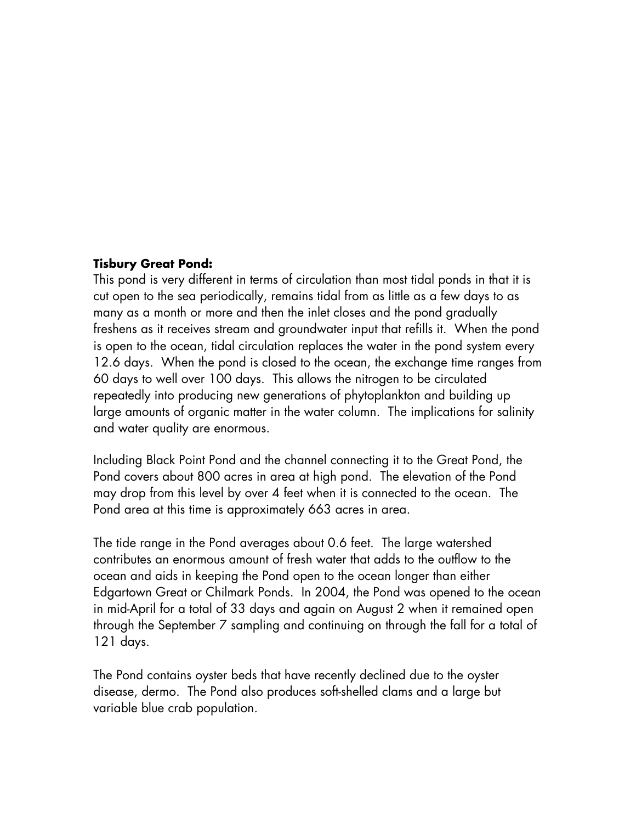#### **Tisbury Great Pond:**

This pond is very different in terms of circulation than most tidal ponds in that it is cut open to the sea periodically, remains tidal from as little as a few days to as many as a month or more and then the inlet closes and the pond gradually freshens as it receives stream and groundwater input that refills it. When the pond is open to the ocean, tidal circulation replaces the water in the pond system every 12.6 days. When the pond is closed to the ocean, the exchange time ranges from 60 days to well over 100 days. This allows the nitrogen to be circulated repeatedly into producing new generations of phytoplankton and building up large amounts of organic matter in the water column. The implications for salinity and water quality are enormous.

Including Black Point Pond and the channel connecting it to the Great Pond, the Pond covers about 800 acres in area at high pond. The elevation of the Pond may drop from this level by over 4 feet when it is connected to the ocean. The Pond area at this time is approximately 663 acres in area.

The tide range in the Pond averages about 0.6 feet. The large watershed contributes an enormous amount of fresh water that adds to the outflow to the ocean and aids in keeping the Pond open to the ocean longer than either Edgartown Great or Chilmark Ponds. In 2004, the Pond was opened to the ocean in mid-April for a total of 33 days and again on August 2 when it remained open through the September 7 sampling and continuing on through the fall for a total of 121 days.

The Pond contains oyster beds that have recently declined due to the oyster disease, dermo. The Pond also produces soft-shelled clams and a large but variable blue crab population.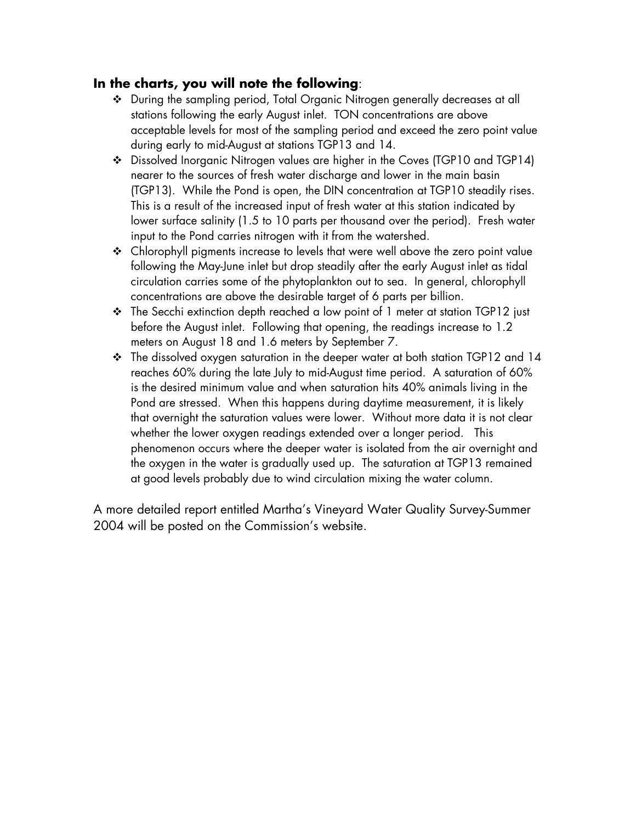### **In the charts, you will note the following**:

- During the sampling period, Total Organic Nitrogen generally decreases at all stations following the early August inlet. TON concentrations are above acceptable levels for most of the sampling period and exceed the zero point value during early to mid-August at stations TGP13 and 14.
- Dissolved Inorganic Nitrogen values are higher in the Coves (TGP10 and TGP14) nearer to the sources of fresh water discharge and lower in the main basin (TGP13). While the Pond is open, the DIN concentration at TGP10 steadily rises. This is a result of the increased input of fresh water at this station indicated by lower surface salinity (1.5 to 10 parts per thousand over the period). Fresh water input to the Pond carries nitrogen with it from the watershed.
- Chlorophyll pigments increase to levels that were well above the zero point value following the May-June inlet but drop steadily after the early August inlet as tidal circulation carries some of the phytoplankton out to sea. In general, chlorophyll concentrations are above the desirable target of 6 parts per billion.
- The Secchi extinction depth reached a low point of 1 meter at station TGP12 just before the August inlet. Following that opening, the readings increase to 1.2 meters on August 18 and 1.6 meters by September 7.
- $\cdot$  The dissolved oxygen saturation in the deeper water at both station TGP12 and 14 reaches 60% during the late July to mid-August time period. A saturation of 60% is the desired minimum value and when saturation hits 40% animals living in the Pond are stressed. When this happens during daytime measurement, it is likely that overnight the saturation values were lower. Without more data it is not clear whether the lower oxygen readings extended over a longer period. This phenomenon occurs where the deeper water is isolated from the air overnight and the oxygen in the water is gradually used up. The saturation at TGP13 remained at good levels probably due to wind circulation mixing the water column.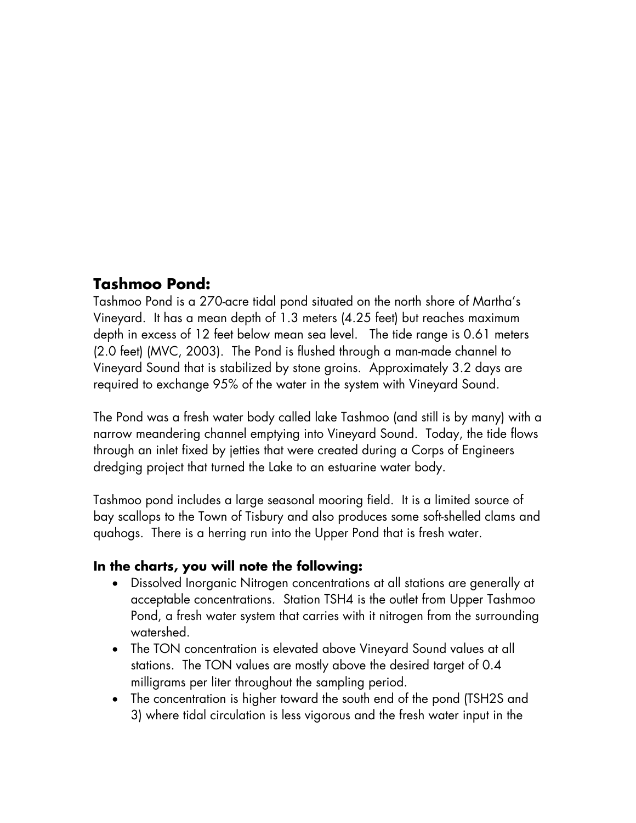## **Tashmoo Pond:**

Tashmoo Pond is a 270-acre tidal pond situated on the north shore of Martha's Vineyard. It has a mean depth of 1.3 meters (4.25 feet) but reaches maximum depth in excess of 12 feet below mean sea level. The tide range is 0.61 meters (2.0 feet) (MVC, 2003). The Pond is flushed through a man-made channel to Vineyard Sound that is stabilized by stone groins. Approximately 3.2 days are required to exchange 95% of the water in the system with Vineyard Sound.

The Pond was a fresh water body called lake Tashmoo (and still is by many) with a narrow meandering channel emptying into Vineyard Sound. Today, the tide flows through an inlet fixed by jetties that were created during a Corps of Engineers dredging project that turned the Lake to an estuarine water body.

Tashmoo pond includes a large seasonal mooring field. It is a limited source of bay scallops to the Town of Tisbury and also produces some soft-shelled clams and quahogs. There is a herring run into the Upper Pond that is fresh water.

### **In the charts, you will note the following:**

- Dissolved Inorganic Nitrogen concentrations at all stations are generally at acceptable concentrations. Station TSH4 is the outlet from Upper Tashmoo Pond, a fresh water system that carries with it nitrogen from the surrounding watershed.
- The TON concentration is elevated above Vineyard Sound values at all stations. The TON values are mostly above the desired target of 0.4 milligrams per liter throughout the sampling period.
- The concentration is higher toward the south end of the pond (TSH2S and 3) where tidal circulation is less vigorous and the fresh water input in the